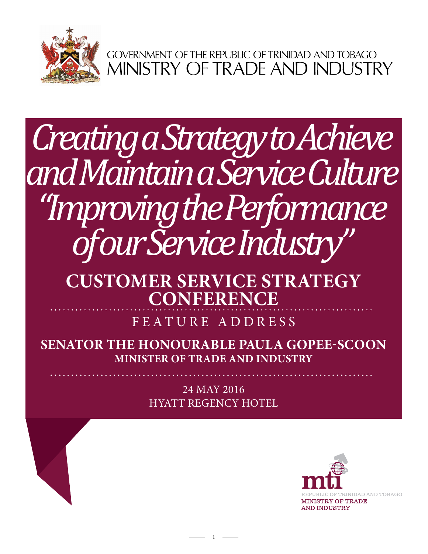

GOVERNMENT OF THE REPUBLIC OF TRINIDAD AND TOBAGO<br>MINISTRY OF TRADE AND INDUSTRY

# *Creating a Strategy to Achieve and Maintain a Service Culture "Improving the Performance of our Service Industry"*

## **Customer Service Strategy Conference**

FEATURE ADDRESS

**Senator the Honourable Paula Gopee-Scoon Minister of Trade and Industry**

> 24 May 2016 Hyatt Regency Hotel

> > 1

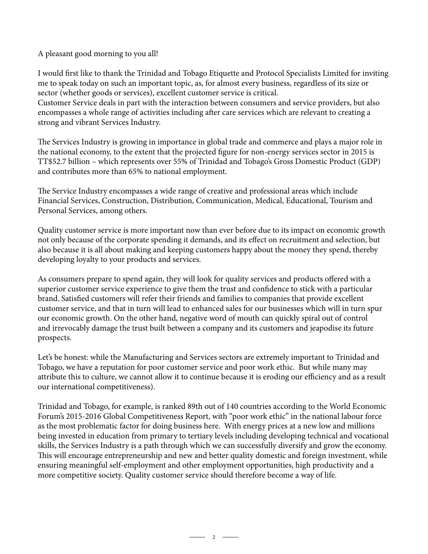A pleasant good morning to you all!

I would first like to thank the Trinidad and Tobago Etiquette and Protocol Specialists Limited for inviting me to speak today on such an important topic, as, for almost every business, regardless of its size or sector (whether goods or services), excellent customer service is critical.

Customer Service deals in part with the interaction between consumers and service providers, but also encompasses a whole range of activities including after care services which are relevant to creating a strong and vibrant Services Industry.

The Services Industry is growing in importance in global trade and commerce and plays a major role in the national economy, to the extent that the projected figure for non-energy services sector in 2015 is TT\$52.7 billion – which represents over 55% of Trinidad and Tobago's Gross Domestic Product (GDP) and contributes more than 65% to national employment.

The Service Industry encompasses a wide range of creative and professional areas which include Financial Services, Construction, Distribution, Communication, Medical, Educational, Tourism and Personal Services, among others.

Quality customer service is more important now than ever before due to its impact on economic growth not only because of the corporate spending it demands, and its effect on recruitment and selection, but also because it is all about making and keeping customers happy about the money they spend, thereby developing loyalty to your products and services.

As consumers prepare to spend again, they will look for quality services and products offered with a superior customer service experience to give them the trust and confidence to stick with a particular brand. Satisfied customers will refer their friends and families to companies that provide excellent customer service, and that in turn will lead to enhanced sales for our businesses which will in turn spur our economic growth. On the other hand, negative word of mouth can quickly spiral out of control and irrevocably damage the trust built between a company and its customers and jeapodise its future prospects.

Let's be honest: while the Manufacturing and Services sectors are extremely important to Trinidad and Tobago, we have a reputation for poor customer service and poor work ethic. But while many may attribute this to culture, we cannot allow it to continue because it is eroding our efficiency and as a result our international competitiveness).

Trinidad and Tobago, for example, is ranked 89th out of 140 countries according to the World Economic Forum's 2015-2016 Global Competitiveness Report, with "poor work ethic" in the national labour force as the most problematic factor for doing business here. With energy prices at a new low and millions being invested in education from primary to tertiary levels including developing technical and vocational skills, the Services Industry is a path through which we can successfully diversify and grow the economy. This will encourage entrepreneurship and new and better quality domestic and foreign investment, while ensuring meaningful self-employment and other employment opportunities, high productivity and a more competitive society. Quality customer service should therefore become a way of life.

 $\overline{\phantom{a}}$  2  $\overline{\phantom{a}}$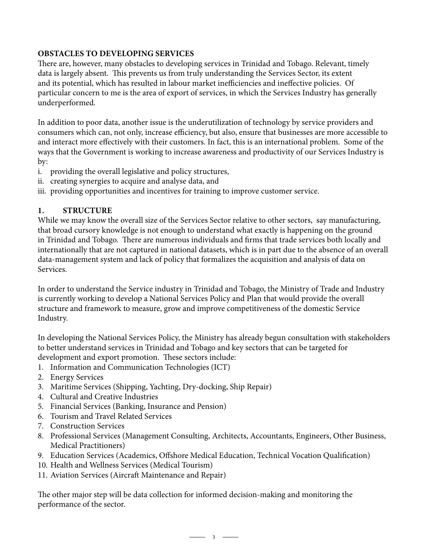## **OBSTACLES TO DEVELOPING SERVICES**

There are, however, many obstacles to developing services in Trinidad and Tobago. Relevant, timely data is largely absent. This prevents us from truly understanding the Services Sector, its extent and its potential, which has resulted in labour market inefficiencies and ineffective policies. Of particular concern to me is the area of export of services, in which the Services Industry has generally underperformed.

In addition to poor data, another issue is the underutilization of technology by service providers and consumers which can, not only, increase efficiency, but also, ensure that businesses are more accessible to and interact more effectively with their customers. In fact, this is an international problem. Some of the ways that the Government is working to increase awareness and productivity of our Services Industry is by:

- i. providing the overall legislative and policy structures,
- ii. creating synergies to acquire and analyse data, and
- iii. providing opportunities and incentives for training to improve customer service.

## **1. STRUCTURE**

While we may know the overall size of the Services Sector relative to other sectors, say manufacturing, that broad cursory knowledge is not enough to understand what exactly is happening on the ground in Trinidad and Tobago. There are numerous individuals and firms that trade services both locally and internationally that are not captured in national datasets, which is in part due to the absence of an overall data-management system and lack of policy that formalizes the acquisition and analysis of data on Services.

In order to understand the Service industry in Trinidad and Tobago, the Ministry of Trade and Industry is currently working to develop a National Services Policy and Plan that would provide the overall structure and framework to measure, grow and improve competitiveness of the domestic Service Industry.

In developing the National Services Policy, the Ministry has already begun consultation with stakeholders to better understand services in Trinidad and Tobago and key sectors that can be targeted for development and export promotion. These sectors include:

- 1. Information and Communication Technologies (ICT)
- 2. Energy Services
- 3. Maritime Services (Shipping, Yachting, Dry-docking, Ship Repair)
- 4. Cultural and Creative Industries
- 5. Financial Services (Banking, Insurance and Pension)
- 6. Tourism and Travel Related Services
- 7. Construction Services
- 8. Professional Services (Management Consulting, Architects, Accountants, Engineers, Other Business, Medical Practitioners)
- 9. Education Services (Academics, Offshore Medical Education, Technical Vocation Qualification)
- 10. Health and Wellness Services (Medical Tourism)
- 11. Aviation Services (Aircraft Maintenance and Repair)

The other major step will be data collection for informed decision-making and monitoring the performance of the sector.

 $\overline{\phantom{1}}$  3  $\overline{\phantom{1}}$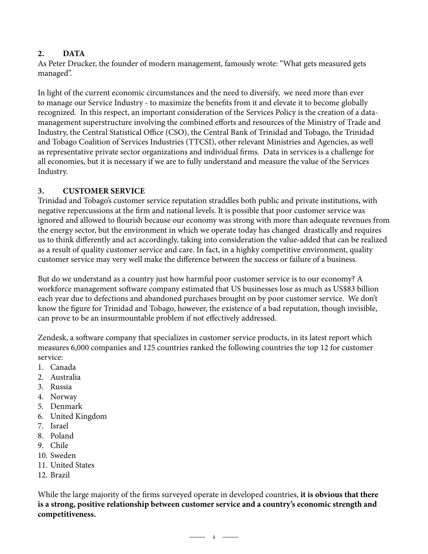#### **DATA 2.**

As Peter Drucker, the founder of modern management, famously wrote: "What gets measured gets managed".

In light of the current economic circumstances and the need to diversify, we need more than ever to manage our Service Industry - to maximize the benefits from it and elevate it to become globally recognized. In this respect, an important consideration of the Services Policy is the creation of a datamanagement superstructure involving the combined efforts and resources of the Ministry of Trade and Industry, the Central Statistical Office (CSO), the Central Bank of Trinidad and Tobago, the Trinidad and Tobago Coalition of Services Industries (TTCSI), other relevant Ministries and Agencies, as well as representative private sector organizations and individual firms. Data in services is a challenge for all economies, but it is necessary if we are to fully understand and measure the value of the Services Industry.

## **3. CUSTOMER SERVICE**

Trinidad and Tobago's customer service reputation straddles both public and private institutions, with negative repercussions at the firm and national levels. It is possible that poor customer service was ignored and allowed to flourish because our economy was strong with more than adequate revenues from the energy sector, but the environment in which we operate today has changed drastically and requires us to think differently and act accordingly, taking into consideration the value-added that can be realized as a result of quality customer service and care. In fact, in a highky competitive environment, quality customer service may very well make the difference between the success or failure of a business.

But do we understand as a country just how harmful poor customer service is to our economy? A workforce management software company estimated that US businesses lose as much as US\$83 billion each year due to defections and abandoned purchases brought on by poor customer service. We don't know the figure for Trinidad and Tobago, however, the existence of a bad reputation, though invisible, can prove to be an insurmountable problem if not effectively addressed.

Zendesk, a software company that specializes in customer service products, in its latest report which measures 6,000 companies and 125 countries ranked the following countries the top 12 for customer service:

- 1. Canada
- 2. Australia
- 3. Russia
- 4. Norway
- 5. Denmark
- 6. United Kingdom
- 7. Israel
- 8. Poland
- 9. Chile
- 10. Sweden
- 11. United States
- 12. Brazil

While the large majority of the firms surveyed operate in developed countries, **it is obvious that there is a strong, positive relationship between customer service and a country's economic strength and competitiveness.**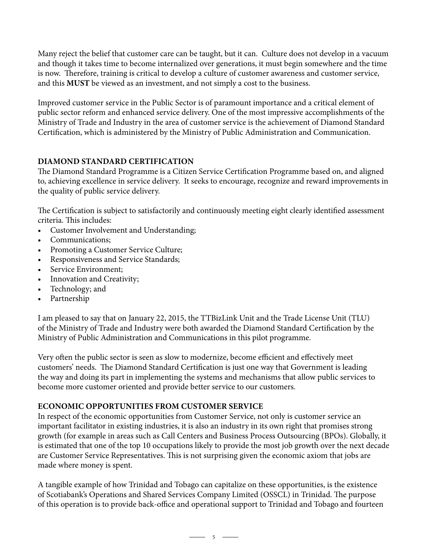Many reject the belief that customer care can be taught, but it can. Culture does not develop in a vacuum and though it takes time to become internalized over generations, it must begin somewhere and the time is now. Therefore, training is critical to develop a culture of customer awareness and customer service, and this **MUST** be viewed as an investment, and not simply a cost to the business.

Improved customer service in the Public Sector is of paramount importance and a critical element of public sector reform and enhanced service delivery. One of the most impressive accomplishments of the Ministry of Trade and Industry in the area of customer service is the achievement of Diamond Standard Certification, which is administered by the Ministry of Public Administration and Communication.

## **DIAMOND STANDARD CERTIFICATION**

The Diamond Standard Programme is a Citizen Service Certification Programme based on, and aligned to, achieving excellence in service delivery. It seeks to encourage, recognize and reward improvements in the quality of public service delivery.

The Certification is subject to satisfactorily and continuously meeting eight clearly identified assessment criteria. This includes:

- Customer Involvement and Understanding;
- Communications:
- Promoting a Customer Service Culture;
- Responsiveness and Service Standards;
- Service Environment;
- Innovation and Creativity;
- Technology; and
- Partnership

I am pleased to say that on January 22, 2015, the TTBizLink Unit and the Trade License Unit (TLU) of the Ministry of Trade and Industry were both awarded the Diamond Standard Certification by the Ministry of Public Administration and Communications in this pilot programme.

Very often the public sector is seen as slow to modernize, become efficient and effectively meet customers' needs. The Diamond Standard Certification is just one way that Government is leading the way and doing its part in implementing the systems and mechanisms that allow public services to become more customer oriented and provide better service to our customers.

### **Economic Opportunities from Customer Service**

In respect of the economic opportunities from Customer Service, not only is customer service an important facilitator in existing industries, it is also an industry in its own right that promises strong growth (for example in areas such as Call Centers and Business Process Outsourcing (BPOs). Globally, it is estimated that one of the top 10 occupations likely to provide the most job growth over the next decade are Customer Service Representatives. This is not surprising given the economic axiom that jobs are made where money is spent.

A tangible example of how Trinidad and Tobago can capitalize on these opportunities, is the existence of Scotiabank's Operations and Shared Services Company Limited (OSSCL) in Trinidad. The purpose of this operation is to provide back-office and operational support to Trinidad and Tobago and fourteen

 $\overline{\phantom{1}}$  5  $\overline{\phantom{1}}$